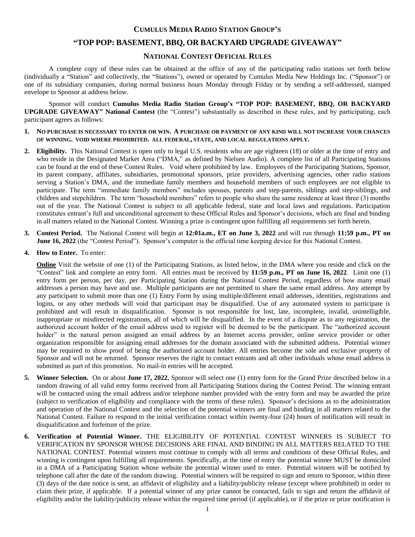## **CUMULUS MEDIA RADIO STATION GROUP'S**

# **"TOP POP: BASEMENT, BBQ, OR BACKYARD UPGRADE GIVEAWAY"**

## **NATIONAL CONTEST OFFICIAL RULES**

A complete copy of these rules can be obtained at the office of any of the participating radio stations set forth below (individually a "Station" and collectively, the "Stations"), owned or operated by Cumulus Media New Holdings Inc. ("Sponsor") or one of its subsidiary companies, during normal business hours Monday through Friday or by sending a self-addressed, stamped envelope to Sponsor at address below.

Sponsor will conduct **Cumulus Media Radio Station Group's "TOP POP: BASEMENT, BBQ, OR BACKYARD UPGRADE GIVEAWAY" National Contest** (the "Contest") substantially as described in these rules, and by participating, each participant agrees as follows:

- **1. NO PURCHASE IS NECESSARY TO ENTER OR WIN. A PURCHASE OR PAYMENT OF ANY KIND WILL NOT INCREASE YOUR CHANCES OF WINNING. VOID WHERE PROHIBITED. ALL FEDERAL, STATE, AND LOCAL REGULATIONS APPLY.**
- **2. Eligibility.** This National Contest is open only to legal U.S. residents who are age eighteen (18) or older at the time of entry and who reside in the Designated Market Area ("DMA," as defined by Nielsen Audio). A complete list of all Participating Stations can be found at the end of these Contest Rules. Void where prohibited by law. Employees of the Participating Stations, Sponsor, its parent company, affiliates, subsidiaries, promotional sponsors, prize providers, advertising agencies, other radio stations serving a Station's DMA, and the immediate family members and household members of such employees are not eligible to participate. The term "immediate family members" includes spouses, parents and step-parents, siblings and step-siblings, and children and stepchildren. The term "household members" refers to people who share the same residence at least three (3) months out of the year. The National Contest is subject to all applicable federal, state and local laws and regulations. Participation constitutes entrant's full and unconditional agreement to these Official Rules and Sponsor's decisions, which are final and binding in all matters related to the National Contest. Winning a prize is contingent upon fulfilling all requirements set forth herein.
- **3. Contest Period.** The National Contest will begin at **12:01a.m., ET on June 3, 2022** and will run through **11:59 p.m., PT on June 16, 2022** (the "Contest Period"). Sponsor's computer is the official time keeping device for this National Contest.
- **4. How to Enter.** To enter:

**Online** Visit the website of one (1) of the Participating Stations, as listed below, in the DMA where you reside and click on the "Contest" link and complete an entry form. All entries must be received by **11:59 p.m., PT on June 16, 2022**. Limit one (1) entry form per person, per day, per Participating Station during the National Contest Period, regardless of how many email addresses a person may have and use. Multiple participants are not permitted to share the same email address. Any attempt by any participant to submit more than one (1) Entry Form by using multiple/different email addresses, identities, registrations and logins, or any other methods will void that participant may be disqualified. Use of any automated system to participate is prohibited and will result in disqualification. Sponsor is not responsible for lost, late, incomplete, invalid, unintelligible, inappropriate or misdirected registrations, all of which will be disqualified. In the event of a dispute as to any registration, the authorized account holder of the email address used to register will be deemed to be the participant. The "authorized account holder" is the natural person assigned an email address by an Internet access provider, online service provider or other organization responsible for assigning email addresses for the domain associated with the submitted address. Potential winner may be required to show proof of being the authorized account holder. All entries become the sole and exclusive property of Sponsor and will not be returned. Sponsor reserves the right to contact entrants and all other individuals whose email address is submitted as part of this promotion. No mail-in entries will be accepted.

- **5. Winner Selection.** On or about **June 17, 2022**, Sponsor will select one (1) entry form for the Grand Prize described below in a random drawing of all valid entry forms received from all Participating Stations during the Contest Period. The winning entrant will be contacted using the email address and/or telephone number provided with the entry form and may be awarded the prize (subject to verification of eligibility and compliance with the terms of these rules). Sponsor's decisions as to the administration and operation of the National Contest and the selection of the potential winners are final and binding in all matters related to the National Contest. Failure to respond to the initial verification contact within twenty-four (24) hours of notification will result in disqualification and forfeiture of the prize.
- **6. Verification of Potential Winner.** THE ELIGIBILITY OF POTENTIAL CONTEST WINNERS IS SUBJECT TO VERIFICATION BY SPONSOR WHOSE DECISIONS ARE FINAL AND BINDING IN ALL MATTERS RELATED TO THE NATIONAL CONTEST. Potential winners must continue to comply with all terms and conditions of these Official Rules, and winning is contingent upon fulfilling all requirements. Specifically, at the time of entry the potential winner MUST be domiciled in a DMA of a Participating Station whose website the potential winner used to enter. Potential winners will be notified by telephone call after the date of the random drawing. Potential winners will be required to sign and return to Sponsor, within three (3) days of the date notice is sent, an affidavit of eligibility and a liability/publicity release (except where prohibited) in order to claim their prize, if applicable. If a potential winner of any prize cannot be contacted, fails to sign and return the affidavit of eligibility and/or the liability/publicity release within the required time period (if applicable), or if the prize or prize notification is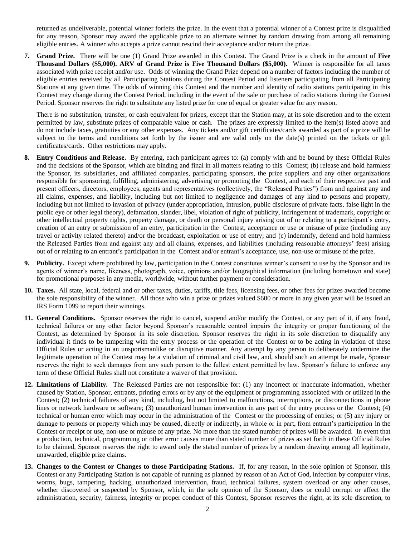returned as undeliverable, potential winner forfeits the prize. In the event that a potential winner of a Contest prize is disqualified for any reason, Sponsor may award the applicable prize to an alternate winner by random drawing from among all remaining eligible entries. A winner who accepts a prize cannot rescind their acceptance and/or return the prize.

**7. Grand Prize.** There will be one (1) Grand Prize awarded in this Contest. The Grand Prize is a check in the amount of **Five Thousand Dollars (\$5,000). ARV of Grand Prize is Five Thousand Dollars (\$5,000).** Winner is responsible for all taxes associated with prize receipt and/or use. Odds of winning the Grand Prize depend on a number of factors including the number of eligible entries received by all Participating Stations during the Contest Period and listeners participating from all Participating Stations at any given time. The odds of winning this Contest and the number and identity of radio stations participating in this Contest may change during the Contest Period, including in the event of the sale or purchase of radio stations during the Contest Period. Sponsor reserves the right to substitute any listed prize for one of equal or greater value for any reason.

There is no substitution, transfer, or cash equivalent for prizes, except that the Station may, at its sole discretion and to the extent permitted by law, substitute prizes of comparable value or cash. The prizes are expressly limited to the item(s) listed above and do not include taxes, gratuities or any other expenses. Any tickets and/or gift certificates/cards awarded as part of a prize will be subject to the terms and conditions set forth by the issuer and are valid only on the date(s) printed on the tickets or gift certificates/cards. Other restrictions may apply.

- **8. Entry Conditions and Release.** By entering, each participant agrees to: (a) comply with and be bound by these Official Rules and the decisions of the Sponsor, which are binding and final in all matters relating to this Contest; (b) release and hold harmless the Sponsor, its subsidiaries, and affiliated companies, participating sponsors, the prize suppliers and any other organizations responsible for sponsoring, fulfilling, administering, advertising or promoting the Contest, and each of their respective past and present officers, directors, employees, agents and representatives (collectively, the "Released Parties") from and against any and all claims, expenses, and liability, including but not limited to negligence and damages of any kind to persons and property, including but not limited to invasion of privacy (under appropriation, intrusion, public disclosure of private facts, false light in the public eye or other legal theory), defamation, slander, libel, violation of right of publicity, infringement of trademark, copyright or other intellectual property rights, property damage, or death or personal injury arising out of or relating to a participant's entry, creation of an entry or submission of an entry, participation in the Contest, acceptance or use or misuse of prize (including any travel or activity related thereto) and/or the broadcast, exploitation or use of entry; and (c) indemnify, defend and hold harmless the Released Parties from and against any and all claims, expenses, and liabilities (including reasonable attorneys' fees) arising out of or relating to an entrant's participation in the Contest and/or entrant's acceptance, use, non-use or misuse of the prize.
- **9. Publicity.** Except where prohibited by law, participation in the Contest constitutes winner's consent to use by the Sponsor and its agents of winner's name, likeness, photograph, voice, opinions and/or biographical information (including hometown and state) for promotional purposes in any media, worldwide, without further payment or consideration.
- **10. Taxes.** All state, local, federal and or other taxes, duties, tariffs, title fees, licensing fees, or other fees for prizes awarded become the sole responsibility of the winner. All those who win a prize or prizes valued \$600 or more in any given year will be issued an IRS Form 1099 to report their winnings.
- **11. General Conditions.** Sponsor reserves the right to cancel, suspend and/or modify the Contest, or any part of it, if any fraud, technical failures or any other factor beyond Sponsor's reasonable control impairs the integrity or proper functioning of the Contest, as determined by Sponsor in its sole discretion. Sponsor reserves the right in its sole discretion to disqualify any individual it finds to be tampering with the entry process or the operation of the Contest or to be acting in violation of these Official Rules or acting in an unsportsmanlike or disruptive manner. Any attempt by any person to deliberately undermine the legitimate operation of the Contest may be a violation of criminal and civil law, and, should such an attempt be made, Sponsor reserves the right to seek damages from any such person to the fullest extent permitted by law. Sponsor's failure to enforce any term of these Official Rules shall not constitute a waiver of that provision.
- **12. Limitations of Liability.** The Released Parties are not responsible for: (1) any incorrect or inaccurate information, whether caused by Station, Sponsor, entrants, printing errors or by any of the equipment or programming associated with or utilized in the Contest; (2) technical failures of any kind, including, but not limited to malfunctions, interruptions, or disconnections in phone lines or network hardware or software; (3) unauthorized human intervention in any part of the entry process or the Contest; (4) technical or human error which may occur in the administration of the Contest or the processing of entries; or (5) any injury or damage to persons or property which may be caused, directly or indirectly, in whole or in part, from entrant's participation in the Contest or receipt or use, non-use or misuse of any prize. No more than the stated number of prizes will be awarded. In event that a production, technical, programming or other error causes more than stated number of prizes as set forth in these Official Rules to be claimed, Sponsor reserves the right to award only the stated number of prizes by a random drawing among all legitimate, unawarded, eligible prize claims.
- **13. Changes to the Contest or Changes to those Participating Stations.** If, for any reason, in the sole opinion of Sponsor, this Contest or any Participating Station is not capable of running as planned by reason of an Act of God, infection by computer virus, worms, bugs, tampering, hacking, unauthorized intervention, fraud, technical failures, system overload or any other causes, whether discovered or suspected by Sponsor, which, in the sole opinion of the Sponsor, does or could corrupt or affect the administration, security, fairness, integrity or proper conduct of this Contest, Sponsor reserves the right, at its sole discretion, to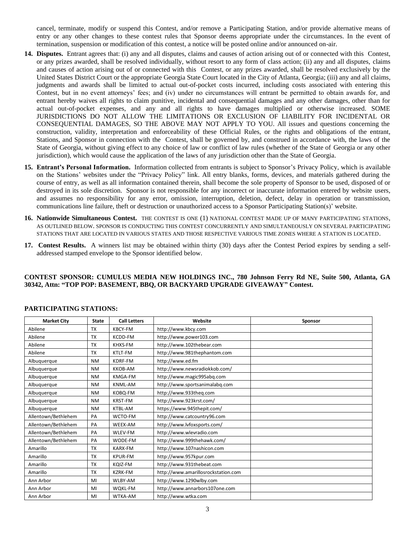cancel, terminate, modify or suspend this Contest, and/or remove a Participating Station, and/or provide alternative means of entry or any other changes to these contest rules that Sponsor deems appropriate under the circumstances. In the event of termination, suspension or modification of this contest, a notice will be posted online and/or announced on-air.

- **14. Disputes.** Entrant agrees that: (i) any and all disputes, claims and causes of action arising out of or connected with this Contest, or any prizes awarded, shall be resolved individually, without resort to any form of class action; (ii) any and all disputes, claims and causes of action arising out of or connected with this Contest, or any prizes awarded, shall be resolved exclusively by the United States District Court or the appropriate Georgia State Court located in the City of Atlanta, Georgia; (iii) any and all claims, judgments and awards shall be limited to actual out-of-pocket costs incurred, including costs associated with entering this Contest, but in no event attorneys' fees; and (iv) under no circumstances will entrant be permitted to obtain awards for, and entrant hereby waives all rights to claim punitive, incidental and consequential damages and any other damages, other than for actual out-of-pocket expenses, and any and all rights to have damages multiplied or otherwise increased. SOME JURISDICTIONS DO NOT ALLOW THE LIMITATIONS OR EXCLUSION OF LIABILITY FOR INCIDENTAL OR CONSEQUENTIAL DAMAGES, SO THE ABOVE MAY NOT APPLY TO YOU. All issues and questions concerning the construction, validity, interpretation and enforceability of these Official Rules, or the rights and obligations of the entrant, Stations, and Sponsor in connection with the Contest, shall be governed by, and construed in accordance with, the laws of the State of Georgia, without giving effect to any choice of law or conflict of law rules (whether of the State of Georgia or any other jurisdiction), which would cause the application of the laws of any jurisdiction other than the State of Georgia.
- **15. Entrant's Personal Information.** Information collected from entrants is subject to Sponsor's Privacy Policy, which is available on the Stations' websites under the "Privacy Policy" link. All entry blanks, forms, devices, and materials gathered during the course of entry, as well as all information contained therein, shall become the sole property of Sponsor to be used, disposed of or destroyed in its sole discretion. Sponsor is not responsible for any incorrect or inaccurate information entered by website users, and assumes no responsibility for any error, omission, interruption, deletion, defect, delay in operation or transmission, communications line failure, theft or destruction or unauthorized access to a Sponsor Participating Station(s)' website.
- **16. Nationwide Simultaneous Contest.** THE CONTEST IS ONE (1) NATIONAL CONTEST MADE UP OF MANY PARTICIPATING STATIONS, AS OUTLINED BELOW. SPONSOR IS CONDUCTING THIS CONTEST CONCURRENTLY AND SIMULTANEOUSLY ON SEVERAL PARTICIPATING STATIONS THAT ARE LOCATED IN VARIOUS STATES AND THOSE RESPECTIVE VARIOUS TIME ZONES WHERE A STATION IS LOCATED.
- **17. Contest Results.** A winners list may be obtained within thirty (30) days after the Contest Period expires by sending a selfaddressed stamped envelope to the Sponsor identified below.

#### **CONTEST SPONSOR: CUMULUS MEDIA NEW HOLDINGS INC., 780 Johnson Ferry Rd NE, Suite 500, Atlanta, GA 30342, Attn: "TOP POP: BASEMENT, BBQ, OR BACKYARD UPGRADE GIVEAWAY" Contest.**

| <b>Market City</b>  | <b>State</b> | <b>Call Letters</b> | Website                             | Sponsor |
|---------------------|--------------|---------------------|-------------------------------------|---------|
| Abilene             | <b>TX</b>    | <b>KBCY-FM</b>      | http://www.kbcy.com                 |         |
| Abilene             | <b>TX</b>    | KCDD-FM             | http://www.power103.com             |         |
| Abilene             | <b>TX</b>    | KHXS-FM             | http://www.102thebear.com           |         |
| Abilene             | <b>TX</b>    | KTLT-FM             | http://www.981thephantom.com        |         |
| Albuquerque         | <b>NM</b>    | KDRF-FM             | http://www.ed.fm                    |         |
| Albuquerque         | <b>NM</b>    | <b>KKOB-AM</b>      | http://www.newsradiokkob.com/       |         |
| Albuquerque         | <b>NM</b>    | KMGA-FM             | http://www.magic995abq.com          |         |
| Albuquerque         | <b>NM</b>    | <b>KNML-AM</b>      | http://www.sportsanimalabq.com      |         |
| Albuquerque         | <b>NM</b>    | KOBQ-FM             | http://www.933theq.com              |         |
| Albuquerque         | <b>NM</b>    | <b>KRST-FM</b>      | http://www.923krst.com/             |         |
| Albuquerque         | <b>NM</b>    | KTBL-AM             | https://www.945thepit.com/          |         |
| Allentown/Bethlehem | PA           | WCTO-FM             | http://www.catcountry96.com         |         |
| Allentown/Bethlehem | PA           | WEEX-AM             | http://www.lvfoxsports.com/         |         |
| Allentown/Bethlehem | PA           | WLEV-FM             | http://www.wlevradio.com            |         |
| Allentown/Bethlehem | PA           | WODE-FM             | http://www.999thehawk.com/          |         |
| Amarillo            | <b>TX</b>    | KARX-FM             | http://www.107nashicon.com          |         |
| Amarillo            | <b>TX</b>    | <b>KPUR-FM</b>      | http://www.957kpur.com              |         |
| Amarillo            | <b>TX</b>    | KOIZ-FM             | http://www.931thebeat.com           |         |
| Amarillo            | <b>TX</b>    | <b>KZRK-FM</b>      | http://www.amarillosrockstation.com |         |
| Ann Arbor           | MI           | WLBY-AM             | http://www.1290wlby.com             |         |
| Ann Arbor           | MI           | WQKL-FM             | http://www.annarbors107one.com      |         |
| Ann Arbor           | MI           | <b>WTKA-AM</b>      | http://www.wtka.com                 |         |

#### **PARTICIPATING STATIONS:**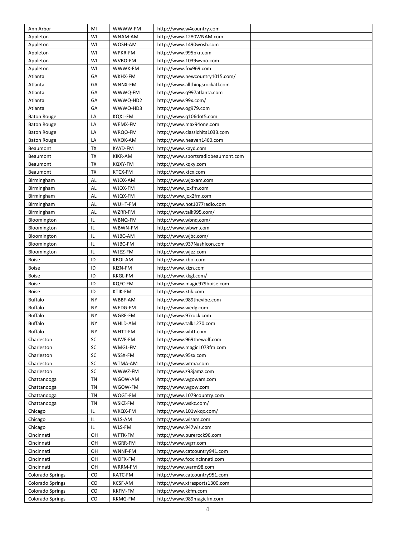| Ann Arbor          | MI        | WWWW-FM        | http://www.w4country.com           |  |
|--------------------|-----------|----------------|------------------------------------|--|
| Appleton           | WI        | WNAM-AM        | http://www.1280WNAM.com            |  |
| Appleton           | WI        | WOSH-AM        | http://www.1490wosh.com            |  |
| Appleton           | WI        | WPKR-FM        | http://www.995pkr.com              |  |
| Appleton           | WI        | WVBO-FM        | http://www.1039wvbo.com            |  |
| Appleton           | WI        | WWWX-FM        | http://www.fox969.com              |  |
| Atlanta            | GA        | WKHX-FM        | http://www.newcountry1015.com/     |  |
| Atlanta            | GA        | WNNX-FM        | http://www.allthingsrockatl.com    |  |
| Atlanta            | GA        | WWWQ-FM        | http://www.q997atlanta.com         |  |
| Atlanta            | GA        | WWWQ-HD2       | http://www.99x.com/                |  |
| Atlanta            | GA        | WWWQ-HD3       | http://www.og979.com               |  |
| <b>Baton Rouge</b> | LA        | KQXL-FM        | http://www.q106dot5.com            |  |
| <b>Baton Rouge</b> | LA        | WEMX-FM        | http://www.max94one.com            |  |
| <b>Baton Rouge</b> | LA        | WRQQ-FM        | http://www.classichits1033.com     |  |
| <b>Baton Rouge</b> | LA        | WXOK-AM        | http://www.heaven1460.com          |  |
| Beaumont           | <b>TX</b> | KAYD-FM        | http://www.kayd.com                |  |
| Beaumont           | ТX        | KIKR-AM        | http://www.sportsradiobeaumont.com |  |
| Beaumont           | ТX        | KQXY-FM        | http://www.kgxy.com                |  |
| Beaumont           | ТX        | KTCX-FM        | http://www.ktcx.com                |  |
| Birmingham         | AL        | WJOX-AM        | http://www.wjoxam.com              |  |
| Birmingham         | AL        | WJOX-FM        | http://www.joxfm.com               |  |
| Birmingham         | AL        | WJQX-FM        | http://www.jox2fm.com              |  |
| Birmingham         | AL        | WUHT-FM        | http://www.hot1077radio.com        |  |
| Birmingham         | AL        | WZRR-FM        | http://www.talk995.com/            |  |
| Bloomington        | IL        | WBNQ-FM        | http://www.wbng.com/               |  |
| Bloomington        | IL        | WBWN-FM        | http://www.wbwn.com                |  |
| Bloomington        | IL        | WJBC-AM        | http://www.wjbc.com/               |  |
| Bloomington        | IL        | WJBC-FM        | http://www.937NashIcon.com         |  |
| Bloomington        | IL        | WJEZ-FM        | http://www.wjez.com                |  |
| <b>Boise</b>       | ID        | <b>KBOI-AM</b> | http://www.kboi.com                |  |
| <b>Boise</b>       | ID        | KIZN-FM        | http://www.kizn.com                |  |
| <b>Boise</b>       | ID        | KKGL-FM        | http://www.kkgl.com/               |  |
| <b>Boise</b>       | ID        | KQFC-FM        | http://www.magic979boise.com       |  |
| <b>Boise</b>       | ID        | KTIK-FM        | http://www.ktik.com                |  |
| <b>Buffalo</b>     | NY        | WBBF-AM        | http://www.989thevibe.com          |  |
| <b>Buffalo</b>     | NΥ        | WEDG-FM        | http://www.wedg.com                |  |
| <b>Buffalo</b>     | ΝY        | WGRF-FM        | http://www.97rock.com              |  |
|                    |           |                | http://www.talk1270.com            |  |
| <b>Buffalo</b>     | ΝY        | WHLD-AM        |                                    |  |
| <b>Buffalo</b>     | NY        | WHTT-FM        | http://www.whtt.com                |  |
| Charleston         | SC        | WIWF-FM        | http://www.969thewolf.com          |  |
| Charleston         | SC        | WMGL-FM        | http://www.magic1073fm.com         |  |
| Charleston         | SC        | WSSX-FM        | http://www.95sx.com                |  |
| Charleston         | SC        | WTMA-AM        | http://www.wtma.com                |  |
| Charleston         | SC        | WWWZ-FM        | http://www.z93jamz.com             |  |
| Chattanooga        | TN        | WGOW-AM        | http://www.wgowam.com              |  |
| Chattanooga        | TN        | WGOW-FM        | http://www.wgow.com                |  |
| Chattanooga        | TN        | WOGT-FM        | http://www.1079country.com         |  |
| Chattanooga        | <b>TN</b> | WSKZ-FM        | http://www.wskz.com/               |  |
| Chicago            | IL        | WKQX-FM        | http://www.101wkgx.com/            |  |
| Chicago            | IL        | WLS-AM         | http://www.wlsam.com               |  |
| Chicago            | IL        | WLS-FM         | http://www.947wls.com              |  |
| Cincinnati         | OН        | WFTK-FM        | http://www.purerock96.com          |  |
| Cincinnati         | OH        | WGRR-FM        | http://www.wgrr.com                |  |
| Cincinnati         | OH        | WNNF-FM        | http://www.catcountry941.com       |  |
| Cincinnati         | OН        | WOFX-FM        | http://www.foxcincinnati.com       |  |
| Cincinnati         | OH        | WRRM-FM        | http://www.warm98.com              |  |
| Colorado Springs   | CO        | KATC-FM        | http://www.catcountry951.com       |  |
| Colorado Springs   | CO        | KCSF-AM        | http://www.xtrasports1300.com      |  |
| Colorado Springs   | CO        | <b>KKFM-FM</b> | http://www.kkfm.com                |  |
| Colorado Springs   | CO        | KKMG-FM        | http://www.989magicfm.com          |  |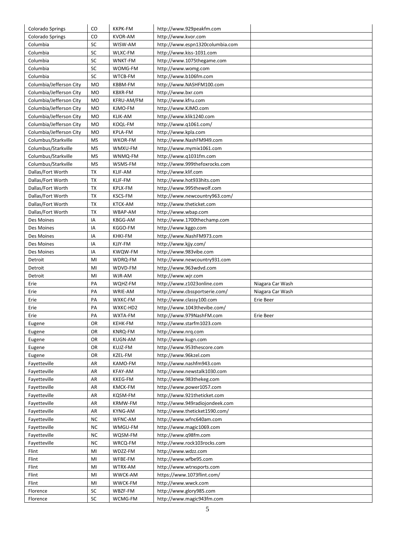| Colorado Springs        | CO               | KKPK-FM            | http://www.929peakfm.com                             |                  |
|-------------------------|------------------|--------------------|------------------------------------------------------|------------------|
| Colorado Springs        | CO               | <b>KVOR-AM</b>     | http://www.kvor.com                                  |                  |
| Columbia                | SC               | WISW-AM            | http://www.espn1320columbia.com                      |                  |
| Columbia                | SC               | WLXC-FM            | http://www.kiss-1031.com                             |                  |
| Columbia                | SC               | WNKT-FM            | http://www.1075thegame.com                           |                  |
| Columbia                | SC               | WOMG-FM            | http://www.womg.com                                  |                  |
| Columbia                | SC               | WTCB-FM            | http://www.b106fm.com                                |                  |
| Columbia/Jefferson City | <b>MO</b>        | KBBM-FM            | http://www.NASHFM100.com                             |                  |
| Columbia/Jefferson City | <b>MO</b>        | KBXR-FM            | http://www.bxr.com                                   |                  |
| Columbia/Jefferson City | <b>MO</b>        | KFRU-AM/FM         | http://www.kfru.com                                  |                  |
| Columbia/Jefferson City | <b>MO</b>        | KJMO-FM            | http://www.KJMO.com                                  |                  |
| Columbia/Jefferson City | <b>MO</b>        | <b>KLIK-AM</b>     | http://www.klik1240.com                              |                  |
| Columbia/Jefferson City | MO               | KOQL-FM            | http://www.q1061.com/                                |                  |
| Columbia/Jefferson City | MO               | KPLA-FM            | http://www.kpla.com                                  |                  |
| Columbus/Starkville     | <b>MS</b>        | WKOR-FM            | http://www.NashFM949.com                             |                  |
| Columbus/Starkville     | <b>MS</b>        | WMXU-FM            | http://www.mymix1061.com                             |                  |
| Columbus/Starkville     | <b>MS</b>        | WNMQ-FM            | http://www.q1031fm.com                               |                  |
| Columbus/Starkville     | MS               | WSMS-FM            | http://www.999thefoxrocks.com                        |                  |
| Dallas/Fort Worth       | <b>TX</b>        | KLIF-AM            | http://www.klif.com                                  |                  |
| Dallas/Fort Worth       | TX               | KLIF-FM            | http://www.hot933hits.com                            |                  |
| Dallas/Fort Worth       | <b>TX</b>        | KPLX-FM            | http://www.995thewolf.com                            |                  |
| Dallas/Fort Worth       | <b>TX</b>        | <b>KSCS-FM</b>     | http://www.newcountry963.com/                        |                  |
| Dallas/Fort Worth       | <b>TX</b>        | <b>KTCK-AM</b>     | http://www.theticket.com                             |                  |
| Dallas/Fort Worth       | <b>TX</b>        | WBAP-AM            | http://www.wbap.com                                  |                  |
| Des Moines              | IA               | KBGG-AM            | http://www.1700thechamp.com                          |                  |
| Des Moines              | IA               | KGGO-FM            | http://www.kggo.com                                  |                  |
| Des Moines              | IA               | KHKI-FM            | http://www.NashFM973.com                             |                  |
| Des Moines              | IA               | KJJY-FM            | http://www.kjjy.com/                                 |                  |
| Des Moines              | IA               | KWQW-FM            | http://www.983vibe.com                               |                  |
| Detroit                 | MI               | WDRQ-FM            | http://www.newcountry931.com                         |                  |
| Detroit                 | MI               | WDVD-FM            | http://www.963wdvd.com                               |                  |
| Detroit                 | MI               | WJR-AM             | http://www.wjr.com                                   |                  |
|                         |                  |                    |                                                      |                  |
| Erie                    | PA               | WQHZ-FM            | http://www.z1023online.com                           | Niagara Car Wash |
| Erie                    | PA               | WRIE-AM            | http://www.cbssportserie.com/                        | Niagara Car Wash |
| Erie                    | PA               | WXKC-FM            | http://www.classy100.com                             | Erie Beer        |
| Erie                    | PA               | WXKC-HD2           | http://www.1043thevibe.com/                          |                  |
| Erie                    | PA               | WXTA-FM            | http://www.979NashFM.com                             | Erie Beer        |
| Eugene                  | OR               | KEHK-FM            | http://www.starfm1023.com                            |                  |
| Eugene                  | OR               | KNRQ-FM            | http://www.nrq.com                                   |                  |
| Eugene                  | OR               | <b>KUGN-AM</b>     | http://www.kugn.com                                  |                  |
| Eugene                  | OR               | KUJZ-FM            | http://www.953thescore.com                           |                  |
| Eugene                  | OR               | KZEL-FM            | http://www.96kzel.com                                |                  |
| Fayetteville            | AR               | KAMO-FM            | http://www.nashfm943.com                             |                  |
| Fayetteville            | AR               | KFAY-AM            | http://www.newstalk1030.com                          |                  |
| Fayetteville            | AR               | <b>KKEG-FM</b>     | http://www.983thekeg.com                             |                  |
| Fayetteville            | AR               | KMCK-FM            | http://www.power1057.com                             |                  |
| Fayetteville            | AR               | KQSM-FM            | http://www.921theticket.com                          |                  |
| Fayetteville            | AR               | KRMW-FM            | http://www.949radiojondeek.com                       |                  |
| Fayetteville            | AR               | KYNG-AM            | http://www.theticket1590.com/                        |                  |
| Fayetteville            | ΝC               | WFNC-AM            | http://www.wfnc640am.com                             |                  |
| Fayetteville            | NC               | WMGU-FM            | http://www.magic1069.com                             |                  |
| Fayetteville            | <b>NC</b>        | WQSM-FM            | http://www.q98fm.com                                 |                  |
| Fayetteville            | <b>NC</b>        | WRCQ-FM            | http://www.rock103rocks.com                          |                  |
| Flint                   | MI               | WDZZ-FM            | http://www.wdzz.com                                  |                  |
| Flint                   | MI               | WFBE-FM            | http://www.wfbe95.com                                |                  |
| Flint                   | MI               | WTRX-AM            | http://www.wtrxsports.com                            |                  |
| Flint                   | MI               | WWCK-AM            | https://www.1073flint.com/                           |                  |
| Flint                   | MI               | WWCK-FM            | http://www.wwck.com                                  |                  |
| Florence<br>Florence    | SC<br>${\sf SC}$ | WBZF-FM<br>WCMG-FM | http://www.glory985.com<br>http://www.magic943fm.com |                  |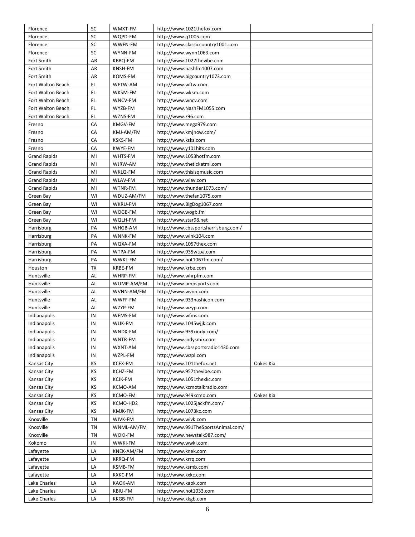| Florence            | SC | WMXT-FM        | http://www.1021thefox.com           |           |
|---------------------|----|----------------|-------------------------------------|-----------|
| Florence            | SC | WQPD-FM        | http://www.g1005.com                |           |
| Florence            | SC | WWFN-FM        | http://www.classiccountry1001.com   |           |
| Florence            | SC | WYNN-FM        | http://www.wynn1063.com             |           |
| Fort Smith          | AR | KBBQ-FM        | http://www.1027thevibe.com          |           |
| Fort Smith          | AR | KNSH-FM        | http://www.nashfm1007.com           |           |
| Fort Smith          | AR | KOMS-FM        | http://www.bigcountry1073.com       |           |
| Fort Walton Beach   | FL | WFTW-AM        | http://www.wftw.com                 |           |
| Fort Walton Beach   | FL | WKSM-FM        | http://www.wksm.com                 |           |
| Fort Walton Beach   | FL | WNCV-FM        | http://www.wncv.com                 |           |
| Fort Walton Beach   | FL | WYZB-FM        | http://www.NashFM1055.com           |           |
| Fort Walton Beach   | FL | WZNS-FM        | http://www.z96.com                  |           |
| Fresno              | CA | KMGV-FM        | http://www.mega979.com              |           |
| Fresno              | CA | KMJ-AM/FM      | http://www.kmjnow.com/              |           |
| Fresno              | CA | KSKS-FM        | http://www.ksks.com                 |           |
| Fresno              | CA | KWYE-FM        | http://www.y101hits.com             |           |
| <b>Grand Rapids</b> | MI | WHTS-FM        | http://www.1053hotfm.com            |           |
| <b>Grand Rapids</b> | MI | WJRW-AM        | http://www.theticketmi.com          |           |
| <b>Grand Rapids</b> | MI | WKLQ-FM        | http://www.thisisqmusic.com         |           |
| <b>Grand Rapids</b> | MI | WLAV-FM        | http://www.wlav.com                 |           |
| <b>Grand Rapids</b> | MI | WTNR-FM        | http://www.thunder1073.com/         |           |
| Green Bay           | WI | WDUZ-AM/FM     | http://www.thefan1075.com           |           |
| Green Bay           | WI | WKRU-FM        | http://www.BigDog1067.com           |           |
| Green Bay           | WI | WOGB-FM        | http://www.wogb.fm                  |           |
| Green Bay           | WI | WQLH-FM        | http://www.star98.net               |           |
| Harrisburg          | PA | WHGB-AM        | http://www.cbssportsharrisburg.com/ |           |
| Harrisburg          | PA | WNNK-FM        | http://www.wink104.com              |           |
| Harrisburg          | PA | WQXA-FM        | http://www.1057thex.com             |           |
| Harrisburg          | PA | WTPA-FM        | http://www.935wtpa.com              |           |
| Harrisburg          | PA | WWKL-FM        | http://www.hot1067fm.com/           |           |
| Houston             | ТX | KRBE-FM        | http://www.krbe.com                 |           |
| Huntsville          | AL | WHRP-FM        | http://www.whrpfm.com               |           |
| Huntsville          | AL | WUMP-AM/FM     | http://www.umpsports.com            |           |
| Huntsville          | AL | WVNN-AM/FM     | http://www.wvnn.com                 |           |
| Huntsville          | AL | WWFF-FM        | http://www.933nashicon.com          |           |
| Huntsville          | AL | WZYP-FM        | http://www.wzyp.com                 |           |
| Indianapolis        | IN | WFMS-FM        | http://www.wfms.com                 |           |
| Indianapolis        | IN | WJJK-FM        | http://www.1045wijk.com             |           |
| Indianapolis        | IN | WNDX-FM        | http://www.939xindy.com/            |           |
| Indianapolis        | IN | WNTR-FM        | http://www.indysmix.com             |           |
| Indianapolis        | IN | WXNT-AM        | http://www.cbssportsradio1430.com   |           |
| Indianapolis        | IN | WZPL-FM        | http://www.wzpl.com                 |           |
| Kansas City         | ΚS | KCFX-FM        | http://www.101thefox.net            | Oakes Kia |
| Kansas City         | KS | KCHZ-FM        | http://www.957thevibe.com           |           |
| Kansas City         | ΚS | <b>KCJK-FM</b> | http://www.1051thexkc.com           |           |
| Kansas City         | ΚS | KCMO-AM        | http://www.kcmotalkradio.com        |           |
| Kansas City         | ΚS | KCMO-FM        | http://www.949kcmo.com              | Oakes Kia |
| Kansas City         | ΚS | KCMO-HD2       | http://www.1025jackfm.com/          |           |
| Kansas City         | ΚS | KMJK-FM        | http://www.1073kc.com               |           |
| Knoxville           | TN | WIVK-FM        | http://www.wivk.com                 |           |
| Knoxville           | ΤN | WNML-AM/FM     | http://www.991TheSportsAnimal.com/  |           |
| Knoxville           | ΤN | <b>WOKI-FM</b> | http://www.newstalk987.com/         |           |
| Kokomo              | IN | <b>WWKI-FM</b> | http://www.wwki.com                 |           |
| Lafayette           | LA | KNEK-AM/FM     | http://www.knek.com                 |           |
| Lafayette           | LA | KRRQ-FM        | http://www.krrg.com                 |           |
| Lafayette           | LA | KSMB-FM        | http://www.ksmb.com                 |           |
| Lafayette           | LA | KXKC-FM        | http://www.kxkc.com                 |           |
| Lake Charles        | LA | KAOK-AM        | http://www.kaok.com                 |           |
| Lake Charles        | LA | KBIU-FM        | http://www.hot1033.com              |           |
| Lake Charles        | LA | KKGB-FM        | http://www.kkgb.com                 |           |
|                     |    |                |                                     |           |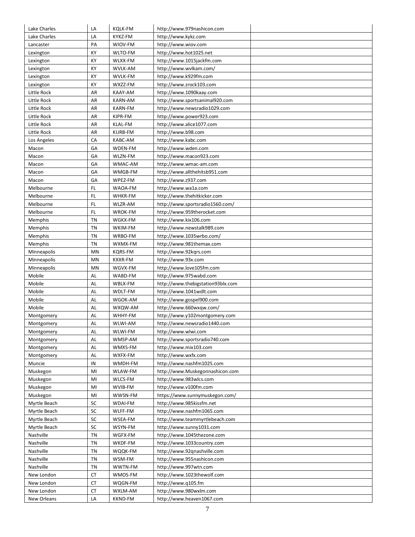| Lake Charles | LA | <b>KQLK-FM</b> | http://www.979nashicon.com        |  |
|--------------|----|----------------|-----------------------------------|--|
| Lake Charles | LA | KYKZ-FM        | http://www.kykz.com               |  |
| Lancaster    | PA | WIOV-FM        | http://www.wiov.com               |  |
| Lexington    | KY | WLTO-FM        | http://www.hot1025.net            |  |
| Lexington    | KY | WLXX-FM        | http://www.1015jackfm.com         |  |
| Lexington    | KY | WVLK-AM        | http://www.wvlkam.com/            |  |
| Lexington    | KY | <b>WVLK-FM</b> | http://www.k929fm.com             |  |
| Lexington    | KY | WXZZ-FM        | http://www.zrock103.com           |  |
| Little Rock  | AR | KAAY-AM        | http://www.1090kaay.com           |  |
| Little Rock  | AR | KARN-AM        | http://www.sportsanimal920.com    |  |
| Little Rock  | AR | KARN-FM        | http://www.newsradio1029.com      |  |
| Little Rock  | AR | KIPR-FM        | http://www.power923.com           |  |
| Little Rock  | AR | KLAL-FM        | http://www.alice1077.com          |  |
| Little Rock  | AR | <b>KURB-FM</b> | http://www.b98.com                |  |
| Los Angeles  | CA | KABC-AM        | http://www.kabc.com               |  |
| Macon        | GA | WDEN-FM        | http://www.wden.com               |  |
| Macon        | GA | WLZN-FM        | http://www.macon923.com           |  |
| Macon        | GA | WMAC-AM        | http://www.wmac-am.com            |  |
| Macon        | GA | WMGB-FM        | http://www.allthehitsb951.com     |  |
| Macon        | GA | WPEZ-FM        | http://www.z937.com               |  |
| Melbourne    | FL | WAOA-FM        | http://www.wa1a.com               |  |
| Melbourne    | FL | WHKR-FM        | http://www.thehitkicker.com       |  |
| Melbourne    | FL | WLZR-AM        | http://www.sportsradio1560.com/   |  |
| Melbourne    | FL | WROK-FM        | http://www.959therocket.com       |  |
| Memphis      | ΤN | WGKX-FM        | http://www.kix106.com             |  |
| Memphis      | ΤN | WKIM-FM        | http://www.newstalk989.com        |  |
| Memphis      | TN | WRBO-FM        | http://www.1035wrbo.com/          |  |
| Memphis      | TN | WXMX-FM        | http://www.981themax.com          |  |
| Minneapolis  | MN | KQRS-FM        | http://www.92kgrs.com             |  |
| Minneapolis  | MN | KXXR-FM        | http://www.93x.com                |  |
| Minneapolis  | MN | WGVX-FM        | http://www.love105fm.com          |  |
| Mobile       | AL | WABD-FM        | http://www.975wabd.com            |  |
| Mobile       | AL | WBLX-FM        | http://www.thebigstation93blx.com |  |
| Mobile       | AL | WDLT-FM        | http://www.1041wdlt.com           |  |
| Mobile       | AL | WGOK-AM        | http://www.gospel900.com          |  |
| Mobile       | AL | WXQW-AM        | http://www.660wxgw.com/           |  |
| Montgomery   | AL | WHHY-FM        | http://www.y102montgomery.com     |  |
| Montgomery   | AL | WLWI-AM        | http://www.newsradio1440.com      |  |
| Montgomery   | AL | WLWI-FM        | http://www.wlwi.com               |  |
| Montgomery   | AL | WMSP-AM        | http://www.sportsradio740.com     |  |
| Montgomery   | AL | WMXS-FM        | http://www.mix103.com             |  |
| Montgomery   | AL | WXFX-FM        | http://www.wxfx.com               |  |
| Muncie       | IN | WMDH-FM        | http://www.nashfm1025.com         |  |
| Muskegon     | MI | WLAW-FM        | http://www.Muskegonnashicon.com   |  |
| Muskegon     | MI | <b>WLCS-FM</b> | http://www.983wlcs.com            |  |
| Muskegon     | MI | WVIB-FM        | http://www.v100fm.com             |  |
| Muskegon     | MI | WWSN-FM        | https://www.sunnymuskegon.com/    |  |
| Myrtle Beach | SC | WDAI-FM        | http://www.985kissfm.net          |  |
| Myrtle Beach | SC | WLFF-FM        | http://www.nashfm1065.com         |  |
| Myrtle Beach | SC | WSEA-FM        | http://www.teammyrtlebeach.com    |  |
| Myrtle Beach | SC | WSYN-FM        | http://www.sunny1031.com          |  |
| Nashville    | TN | WGFX-FM        | http://www.1045thezone.com        |  |
| Nashville    | TN | WKDF-FM        | http://www.1033country.com        |  |
| Nashville    | ΤN | WQQK-FM        | http://www.92qnashville.com       |  |
| Nashville    | TN | WSM-FM         | http://www.955nashicon.com        |  |
| Nashville    | TN | WWTN-FM        | http://www.997wtn.com             |  |
| New London   | СT | WMOS-FM        | http://www.1023thewolf.com        |  |
| New London   | СT | WQGN-FM        | http://www.q105.fm                |  |
| New London   | СT | WXLM-AM        | http://www.980wxlm.com            |  |
| New Orleans  | LA | KKND-FM        | http://www.heaven1067.com         |  |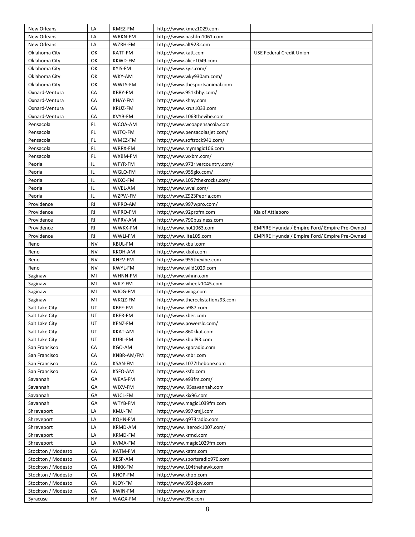| New Orleans              | LA        | KMEZ-FM        | http://www.kmez1029.com                           |                                                      |
|--------------------------|-----------|----------------|---------------------------------------------------|------------------------------------------------------|
| New Orleans              | LA        | WRKN-FM        | http://www.nashfm1061.com                         |                                                      |
| New Orleans              | LA        | WZRH-FM        | http://www.alt923.com                             |                                                      |
| Oklahoma City            | OK        | KATT-FM        | http://www.katt.com                               | <b>USE Federal Credit Union</b>                      |
| Oklahoma City            | OK        | <b>KKWD-FM</b> | http://www.alice1049.com                          |                                                      |
| Oklahoma City            | OK        | KYIS-FM        | http://www.kyis.com/                              |                                                      |
| Oklahoma City            | OK        | WKY-AM         | http://www.wky930am.com/                          |                                                      |
| Oklahoma City            | OK        | WWLS-FM        | http://www.thesportsanimal.com                    |                                                      |
| Oxnard-Ventura           | CA        | KBBY-FM        | http://www.951kbby.com/                           |                                                      |
| Oxnard-Ventura           | CA        | KHAY-FM        | http://www.khay.com                               |                                                      |
| Oxnard-Ventura           | CA        | KRUZ-FM        | http://www.kruz1033.com                           |                                                      |
| Oxnard-Ventura           | CA        | <b>KVYB-FM</b> | http://www.1063thevibe.com                        |                                                      |
| Pensacola                | FL        | WCOA-AM        | http://www.wcoapensacola.com                      |                                                      |
| Pensacola                | FL        | WJTQ-FM        | http://www.pensacolasjet.com/                     |                                                      |
| Pensacola                | FL        | WMEZ-FM        | http://www.softrock941.com/                       |                                                      |
| Pensacola                | FL        | WRRX-FM        | http://www.mymagic106.com                         |                                                      |
| Pensacola                | FL        | WXBM-FM        | http://www.wxbm.com/                              |                                                      |
| Peoria                   | IL        | WFYR-FM        | http://www.973rivercountry.com/                   |                                                      |
| Peoria                   | IL        | WGLO-FM        | http://www.955glo.com/                            |                                                      |
| Peoria                   | IL        | WIXO-FM        | http://www.1057thexrocks.com/                     |                                                      |
| Peoria                   | IL        | WVEL-AM        | http://www.wvel.com/                              |                                                      |
| Peoria                   | IL        | WZPW-FM        | http://www.Z923Peoria.com                         |                                                      |
|                          | <b>RI</b> | WPRO-AM        |                                                   |                                                      |
| Providence               | <b>RI</b> |                | http://www.997wpro.com/<br>http://www.92profm.com |                                                      |
| Providence<br>Providence |           | WPRO-FM        |                                                   | Kia of Attleboro                                     |
|                          | RI        | WPRV-AM        | http://www.790business.com                        |                                                      |
| Providence               | RI        | WWKX-FM        | http://www.hot1063.com                            | <b>EMPIRE Hyundai/ Empire Ford/ Empire Pre-Owned</b> |
| Providence               | RI        | WWLI-FM        | http://www.lite105.com                            | <b>EMPIRE Hyundai/ Empire Ford/ Empire Pre-Owned</b> |
| Reno                     | NV        | KBUL-FM        | http://www.kbul.com                               |                                                      |
| Reno                     | <b>NV</b> | KKOH-AM        | http://www.kkoh.com                               |                                                      |
| Reno                     | NV        | KNEV-FM        | http://www.955thevibe.com                         |                                                      |
| Reno                     | NV        | KWYL-FM        | http://www.wild1029.com                           |                                                      |
| Saginaw                  | MI        | WHNN-FM        | http://www.whnn.com                               |                                                      |
| Saginaw                  | MI        | WILZ-FM        | http://www.wheelz1045.com                         |                                                      |
| Saginaw                  | MI        | WIOG-FM        | http://www.wiog.com                               |                                                      |
| Saginaw                  | MI        | WKQZ-FM        | http://www.therockstationz93.com                  |                                                      |
| Salt Lake City           | UT        | KBEE-FM        | http://www.b987.com                               |                                                      |
| Salt Lake City           | UT        | KBER-FM        | http://www.kber.com                               |                                                      |
| Salt Lake City           | UT        | KENZ-FM        | http://www.powerslc.com/                          |                                                      |
| Salt Lake City           | UT        | KKAT-AM        | http://www.860kkat.com                            |                                                      |
| Salt Lake City           | UT        | KUBL-FM        | http://www.kbull93.com                            |                                                      |
| San Francisco            | CA        | KGO-AM         | http://www.kgoradio.com                           |                                                      |
| San Francisco            | CA        | KNBR-AM/FM     | http://www.knbr.com                               |                                                      |
| San Francisco            | CA        | <b>KSAN-FM</b> | http://www.1077thebone.com                        |                                                      |
| San Francisco            | CA        | KSFO-AM        | http://www.ksfo.com                               |                                                      |
| Savannah                 | GA        | WEAS-FM        | http://www.e93fm.com/                             |                                                      |
| Savannah                 | GA        | WIXV-FM        | http://www.i95savannah.com                        |                                                      |
| Savannah                 | GА        | WJCL-FM        | http://www.kix96.com                              |                                                      |
| Savannah                 | GА        | WTYB-FM        | http://www.magic1039fm.com                        |                                                      |
| Shreveport               | LA        | KMJJ-FM        | http://www.997kmjj.com                            |                                                      |
| Shreveport               | LA        | KQHN-FM        | http://www.q973radio.com                          |                                                      |
| Shreveport               | LA        | KRMD-AM        | http://www.literock1007.com/                      |                                                      |
| Shreveport               | LA        | KRMD-FM        | http://www.krmd.com                               |                                                      |
| Shreveport               | LA        | KVMA-FM        | http://www.magic1029fm.com                        |                                                      |
| Stockton / Modesto       | CA        | KATM-FM        | http://www.katm.com                               |                                                      |
| Stockton / Modesto       | СA        | KESP-AM        | http://www.sportsradio970.com                     |                                                      |
| Stockton / Modesto       | CA        | KHKK-FM        | http://www.104thehawk.com                         |                                                      |
| Stockton / Modesto       | CA        | KHOP-FM        | http://www.khop.com                               |                                                      |
| Stockton / Modesto       | CA        | KJOY-FM        | http://www.993kjoy.com                            |                                                      |
| Stockton / Modesto       | CA        | KWIN-FM        | http://www.kwin.com                               |                                                      |
| Syracuse                 | NY        | WAQX-FM        | http://www.95x.com                                |                                                      |